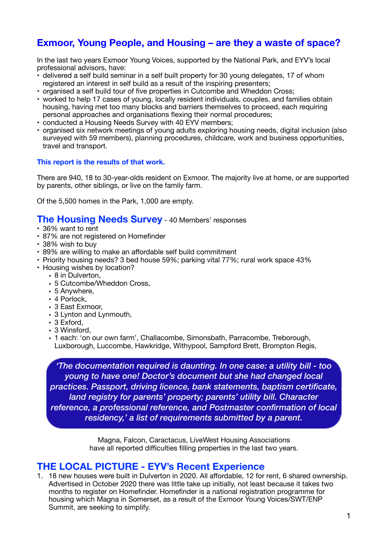# **Exmoor, Young People, and Housing – are they a waste of space?**

In the last two years Exmoor Young Voices, supported by the National Park, and EYV's local professional advisors, have:

- delivered a self build seminar in a self built property for 30 young delegates, 17 of whom registered an interest in self build as a result of the inspiring presenters;
- organised a self build tour of five properties in Cutcombe and Wheddon Cross;
- worked to help 17 cases of young, locally resident individuals, couples, and families obtain housing, having met too many blocks and barriers themselves to proceed, each requiring personal approaches and organisations flexing their normal procedures;
- conducted a Housing Needs Survey with 40 EYV members;
- organised six network meetings of young adults exploring housing needs, digital inclusion (also surveyed with 59 members), planning procedures, childcare, work and business opportunities, travel and transport.

#### **This report is the results of that work.**

There are 940, 18 to 30-year-olds resident on Exmoor. The majority live at home, or are supported by parents, other siblings, or live on the family farm.

Of the 5,500 homes in the Park, 1,000 are empty.

### **The Housing Needs Survey** - 40 Members' responses

- 36% want to rent
- 87% are not registered on Homefinder
- 38% wish to buy
- 89% are willing to make an affordable self build commitment
- Priority housing needs? 3 bed house 59%; parking vital 77%; rural work space 43%
- Housing wishes by location?
	- 8 in Dulverton,
	- 5 Cutcombe/Wheddon Cross,
	- 5 Anywhere,
	- 4 Porlock,
	- 3 East Exmoor,
	- 3 Lynton and Lynmouth,
	- 3 Exford,
	- 3 Winsford,
	- 1 each: 'on our own farm', Challacombe, Simonsbath, Parracombe, Treborough, Luxborough, Luccombe, Hawkridge, Withypool, Sampford Brett, Brompton Regis,

*'The documentation required is daunting. In one case: a utility bill - too young to have one! Doctor's document but she had changed local practices. Passport, driving licence, bank statements, baptism certificate, land registry for parents' property; parents' utility bill. Character reference, a professional reference, and Postmaster confirmation of local residency,' a list of requirements submitted by a parent.*

> Magna, Falcon, Caractacus, LiveWest Housing Associations have all reported difficulties filling properties in the last two years.

## **THE LOCAL PICTURE - EYV's Recent Experience**

1. 18 new houses were built in Dulverton in 2020. All affordable, 12 for rent, 6 shared ownership. Advertised in October 2020 there was little take up initially, not least because it takes two months to register on Homefinder. Homefinder is a national registration programme for housing which Magna in Somerset, as a result of the Exmoor Young Voices/SWT/ENP Summit, are seeking to simplify.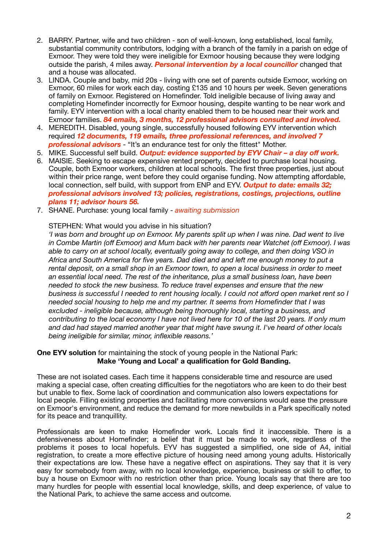- 2. BARRY. Partner, wife and two children son of well-known, long established, local family, substantial community contributors, lodging with a branch of the family in a parish on edge of Exmoor. They were told they were ineligible for Exmoor housing because they were lodging outside the parish, 4 miles away. *Personal intervention by a local councillor* changed that and a house was allocated.
- 3. LINDA. Couple and baby, mid 20s living with one set of parents outside Exmoor, working on Exmoor, 60 miles for work each day, costing £135 and 10 hours per week. Seven generations of family on Exmoor. Registered on Homefinder. Told ineligible because of living away and completing Homefinder incorrectly for Exmoor housing, despite wanting to be near work and family. EYV intervention with a local charity enabled them to be housed near their work and Exmoor families. *84 emails, 3 months, 12 professional advisors consulted and involved.*
- 4. MEREDITH. Disabled, young single, successfully housed following EYV intervention which required *12 documents, 119 emails, three professional references, and involved 7 professional advisors* - "It's an endurance test for only the fittest" Mother.
- 5. MIKE. Successful self build. *Output: evidence supported by EYV Chair a day off work.*
- 6. MAISIE. Seeking to escape expensive rented property, decided to purchase local housing. Couple, both Exmoor workers, children at local schools. The first three properties, just about within their price range, went before they could organise funding. Now attempting affordable, local connection, self build, with support from ENP and EYV. *Output to date: emails 32; professional advisors involved 13; policies, registrations, costings, projections, outline plans 11; advisor hours 56.*
- 7. SHANE. Purchase: young local family *awaiting submission*

#### STEPHEN: What would you advise in his situation?

*'I was born and brought up on Exmoor. My parents split up when I was nine. Dad went to live in Combe Martin (off Exmoor) and Mum back with her parents near Watchet (off Exmoor). I was able to carry on at school locally, eventually going away to college, and then doing VSO in Africa and South America for five years. Dad died and and left me enough money to put a rental deposit, on a small shop in an Exmoor town, to open a local business in order to meet an essential local need. The rest of the inheritance, plus a small business loan, have been needed to stock the new business. To reduce travel expenses and ensure that the new business is successful I needed to rent housing locally. I could not afford open market rent so I needed social housing to help me and my partner. It seems from Homefinder that I was excluded - ineligible because, although being thoroughly local, starting a business, and contributing to the local economy I have not lived here for 10 of the last 20 years. If only mum and dad had stayed married another year that might have swung it. I've heard of other locals being ineligible for similar, minor, inflexible reasons.'* 

#### **One EYV solution** for maintaining the stock of young people in the National Park: **Make 'Young and Local' a qualification for Gold Banding.**

These are not isolated cases. Each time it happens considerable time and resource are used making a special case, often creating difficulties for the negotiators who are keen to do their best but unable to flex. Some lack of coordination and communication also lowers expectations for local people. Filling existing properties and facilitating more conversions would ease the pressure on Exmoor's environment, and reduce the demand for more newbuilds in a Park specifically noted for its peace and tranquillity.

Professionals are keen to make Homefinder work. Locals find it inaccessible. There is a defensiveness about Homefinder; a belief that it must be made to work, regardless of the problems it poses to local hopefuls. EYV has suggested a simplified, one side of A4, initial registration, to create a more effective picture of housing need among young adults. Historically their expectations are low. These have a negative effect on aspirations. They say that it is very easy for somebody from away, with no local knowledge, experience, business or skill to offer, to buy a house on Exmoor with no restriction other than price. Young locals say that there are too many hurdles for people with essential local knowledge, skills, and deep experience, of value to the National Park, to achieve the same access and outcome.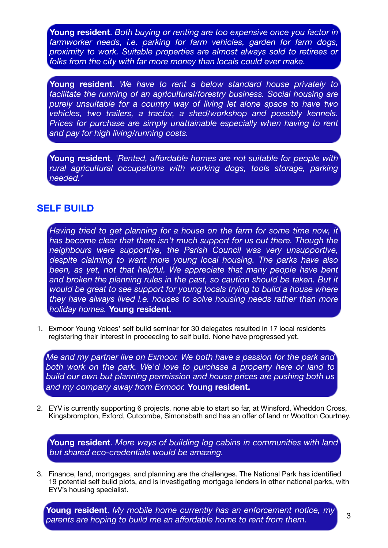**Young resident**. *Both buying or renting are too expensive once you factor in farmworker needs, i.e. parking for farm vehicles, garden for farm dogs, proximity to work. Suitable properties are almost always sold to retirees or folks from the city with far more money than locals could ever make.*

**Young resident**. *We have to rent a below standard house privately to facilitate the running of an agricultural/forestry business. Social housing are purely unsuitable for a country way of living let alone space to have two vehicles, two trailers, a tractor, a shed/workshop and possibly kennels. Prices for purchase are simply unattainable especially when having to rent and pay for high living/running costs.*

**Young resident**. *'Rented, affordable homes are not suitable for people with rural agricultural occupations with working dogs, tools storage, parking needed.'*

## **SELF BUILD**

*Having tried to get planning for a house on the farm for some time now, it has become clear that there isn't much support for us out there. Though the neighbours were supportive, the Parish Council was very unsupportive, despite claiming to want more young local housing. The parks have also*  been, as yet, not that helpful. We appreciate that many people have bent and broken the planning rules in the past, so caution should be taken. But it *would be great to see support for young locals trying to build a house where they have always lived i.e. houses to solve housing needs rather than more holiday homes.* **Young resident.**

1. Exmoor Young Voices' self build seminar for 30 delegates resulted in 17 local residents registering their interest in proceeding to self build. None have progressed yet.

*Me and my partner live on Exmoor. We both have a passion for the park and*  both work on the park. We'd love to purchase a property here or land to *build our own but planning permission and house prices are pushing both us and my company away from Exmoor.* **Young resident.**

2. EYV is currently supporting 6 projects, none able to start so far, at Winsford, Wheddon Cross, Kingsbrompton, Exford, Cutcombe, Simonsbath and has an offer of land nr Wootton Courtney.

**Young resident**. *More ways of building log cabins in communities with land but shared eco-credentials would be amazing.*

3. Finance, land, mortgages, and planning are the challenges. The National Park has identified 19 potential self build plots, and is investigating mortgage lenders in other national parks, with EYV's housing specialist.

**Young resident**. *My mobile home currently has an enforcement notice, my parents are hoping to build me an affordable home to rent from them.*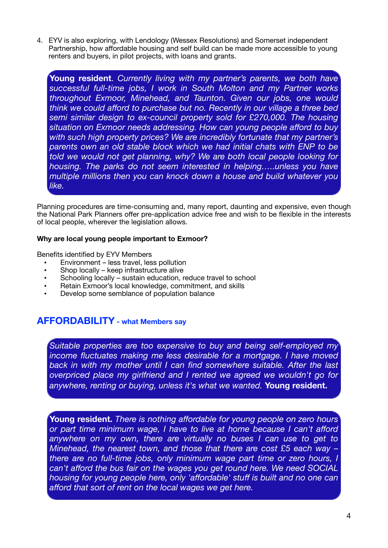4. EYV is also exploring, with Lendology (Wessex Resolutions) and Somerset independent Partnership, how affordable housing and self build can be made more accessible to young renters and buyers, in pilot projects, with loans and grants.

**Young resident**. *Currently living with my partner's parents, we both have successful full-time jobs, I work in South Molton and my Partner works throughout Exmoor, Minehead, and Taunton. Given our jobs, one would think we could afford to purchase but no. Recently in our village a three bed semi similar design to ex-council property sold for £270,000. The housing situation on Exmoor needs addressing. How can young people afford to buy with such high property prices? We are incredibly fortunate that my partner's parents own an old stable block which we had initial chats with ENP to be told we would not get planning, why? We are both local people looking for housing. The parks do not seem interested in helping…..unless you have multiple millions then you can knock down a house and build whatever you like.*

Planning procedures are time-consuming and, many report, daunting and expensive, even though the National Park Planners offer pre-application advice free and wish to be flexible in the interests of local people, wherever the legislation allows.

### **Why are local young people important to Exmoor?**

Benefits identified by EYV Members

- Environment less travel, less pollution
- Shop locally keep infrastructure alive
- Schooling locally sustain education, reduce travel to school
- Retain Exmoor's local knowledge, commitment, and skills
- Develop some semblance of population balance

## **AFFORDABILITY - what Members say**

*Suitable properties are too expensive to buy and being self-employed my income fluctuates making me less desirable for a mortgage. I have moved back in with my mother until I can find somewhere suitable. After the last overpriced place my girlfriend and I rented we agreed we wouldn't go for anywhere, renting or buying, unless it's what we wanted.* **Young resident.**

**Young resident.** *There is nothing affordable for young people on zero hours or part time minimum wage, I have to live at home because I can't afford anywhere on my own, there are virtually no buses I can use to get to Minehead, the nearest town, and those that there are cost £5 each way – there are no full-time jobs, only minimum wage part time or zero hours, I can't afford the bus fair on the wages you get round here. We need SOCIAL housing for young people here, only 'affordable' stuff is built and no one can afford that sort of rent on the local wages we get here.*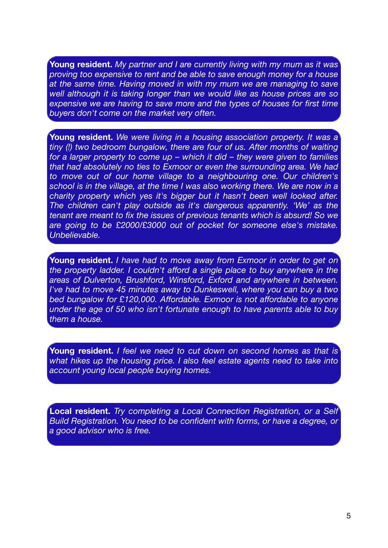**Young resident.** *My partner and I are currently living with my mum as it was proving too expensive to rent and be able to save enough money for a house at the same time. Having moved in with my mum we are managing to save well although it is taking longer than we would like as house prices are so expensive we are having to save more and the types of houses for first time buyers don't come on the market very often.*

**Young resident.** *We were living in a housing association property. It was a tiny (!) two bedroom bungalow, there are four of us. After months of waiting for a larger property to come up – which it did – they were given to families that had absolutely no ties to Exmoor or even the surrounding area. We had to move out of our home village to a neighbouring one. Our children's school is in the village, at the time I was also working there. We are now in a charity property which yes it's bigger but it hasn't been well looked after. The children can't play outside as it's dangerous apparently. 'We' as the tenant are meant to fix the issues of previous tenants which is absurd! So we are going to be £2000/£3000 out of pocket for someone else's mistake. Unbelievable.*

**Young resident.** *I have had to move away from Exmoor in order to get on the property ladder. I couldn't afford a single place to buy anywhere in the areas of Dulverton, Brushford, Winsford, Exford and anywhere in between. I've had to move 45 minutes away to Dunkeswell, where you can buy a two bed bungalow for £120,000. Affordable. Exmoor is not affordable to anyone under the age of 50 who isn't fortunate enough to have parents able to buy them a house.*

**Young resident.** *I feel we need to cut down on second homes as that is what hikes up the housing price. I also feel estate agents need to take into account young local people buying homes.*

**Local resident.** *Try completing a Local Connection Registration, or a Self Build Registration. You need to be confident with forms, or have a degree, or a good advisor who is free.*